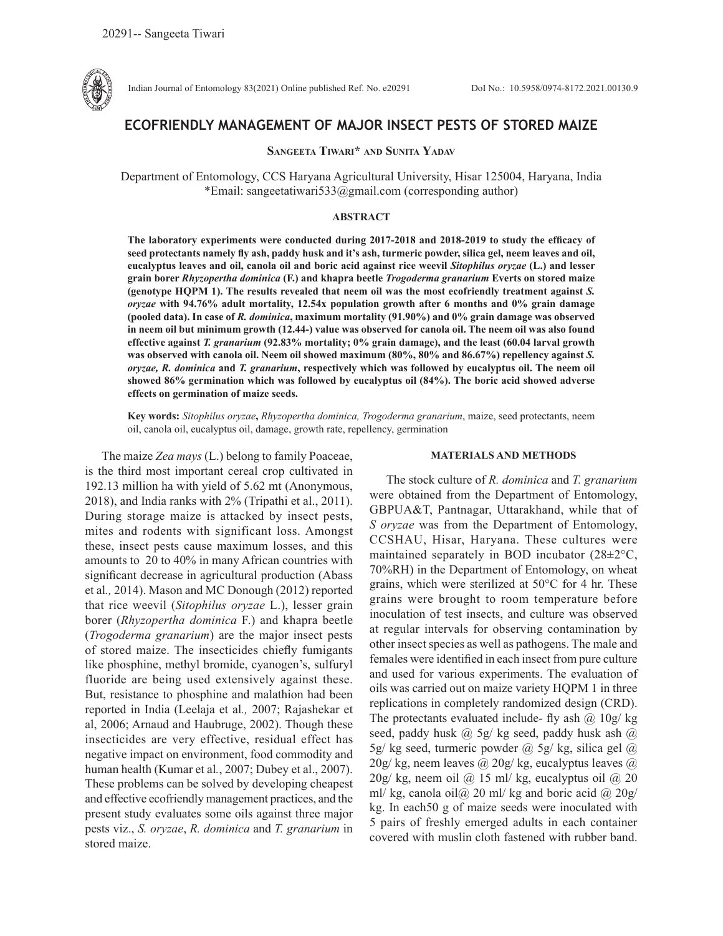

Indian Journal of Entomology 83(2021) Online published Ref. No. e20291 DoI No.: 10.5958/0974-8172.2021.00130.9

# **ECOFRIENDLY MANAGEMENT OF MAJOR INSECT PESTS OF STORED MAIZE**

**Sangeeta Tiwari\* and Sunita Yadav**

Department of Entomology, CCS Haryana Agricultural University, Hisar 125004, Haryana, India \*Email: sangeetatiwari533@gmail.com (corresponding author)

## **ABSTRACT**

The laboratory experiments were conducted during 2017-2018 and 2018-2019 to study the efficacy of **seed protectants namely fly ash, paddy husk and it's ash, turmeric powder, silica gel, neem leaves and oil, eucalyptus leaves and oil, canola oil and boric acid against rice weevil** *Sitophilus oryzae* **(L.) and lesser grain borer** *Rhyzopertha dominica* **(F.) and khapra beetle** *Trogoderma granarium* **Everts on stored maize (genotype HQPM 1). The results revealed that neem oil was the most ecofriendly treatment against** *S. oryzae* **with 94.76% adult mortality, 12.54x population growth after 6 months and 0% grain damage (pooled data). In case of** *R. dominica***, maximum mortality (91.90%) and 0% grain damage was observed in neem oil but minimum growth (12.44-) value was observed for canola oil. The neem oil was also found effective against** *T. granarium* **(92.83% mortality; 0% grain damage), and the least (60.04 larval growth was observed with canola oil. Neem oil showed maximum (80%, 80% and 86.67%) repellency against** *S. oryzae, R. dominica* **and** *T. granarium***, respectively which was followed by eucalyptus oil. The neem oil showed 86% germination which was followed by eucalyptus oil (84%). The boric acid showed adverse effects on germination of maize seeds.**

**Key words:** *Sitophilus oryzae***,** *Rhyzopertha dominica, Trogoderma granarium*, maize, seed protectants, neem oil, canola oil, eucalyptus oil, damage, growth rate, repellency, germination

The maize *Zea mays* (L.) belong to family Poaceae, is the third most important cereal crop cultivated in 192.13 million ha with yield of 5.62 mt (Anonymous, 2018), and India ranks with 2% (Tripathi et al., 2011). During storage maize is attacked by insect pests, mites and rodents with significant loss. Amongst these, insect pests cause maximum losses, and this amounts to 20 to 40% in many African countries with significant decrease in agricultural production (Abass et al*.,* 2014). Mason and MC Donough (2012) reported that rice weevil (*Sitophilus oryzae* L.), lesser grain borer (*Rhyzopertha dominica* F.) and khapra beetle (*Trogoderma granarium*) are the major insect pests of stored maize. The insecticides chiefly fumigants like phosphine, methyl bromide, cyanogen's, sulfuryl fluoride are being used extensively against these. But, resistance to phosphine and malathion had been reported in India (Leelaja et al*.,* 2007; Rajashekar et al, 2006; Arnaud and Haubruge, 2002). Though these insecticides are very effective, residual effect has negative impact on environment, food commodity and human health (Kumar et al*.*, 2007; Dubey et al., 2007). These problems can be solved by developing cheapest and effective ecofriendly management practices, and the present study evaluates some oils against three major pests viz., *S. oryzae*, *R. dominica* and *T. granarium* in stored maize.

#### **MATERIALS AND METHODS**

The stock culture of *R. dominica* and *T. granarium* were obtained from the Department of Entomology, GBPUA&T, Pantnagar, Uttarakhand, while that of *S oryzae* was from the Department of Entomology, CCSHAU, Hisar, Haryana. These cultures were maintained separately in BOD incubator (28±2°C, 70%RH) in the Department of Entomology, on wheat grains, which were sterilized at 50°C for 4 hr. These grains were brought to room temperature before inoculation of test insects, and culture was observed at regular intervals for observing contamination by other insect species as well as pathogens. The male and females were identified in each insect from pure culture and used for various experiments. The evaluation of oils was carried out on maize variety HQPM 1 in three replications in completely randomized design (CRD). The protectants evaluated include- fly ash  $\omega$  10g/ kg seed, paddy husk @ 5g/ kg seed, paddy husk ash @ 5g/ kg seed, turmeric powder  $\omega$  5g/ kg, silica gel  $\omega$  $20g/\text{kg}$ , neem leaves @  $20g/\text{kg}$ , eucalyptus leaves @  $20g/\text{kg}$ , neem oil @ 15 ml/kg, eucalyptus oil @ 20 ml/ kg, canola oil $\omega$  20 ml/ kg and boric acid  $\omega$  20g/ kg. In each50 g of maize seeds were inoculated with 5 pairs of freshly emerged adults in each container covered with muslin cloth fastened with rubber band.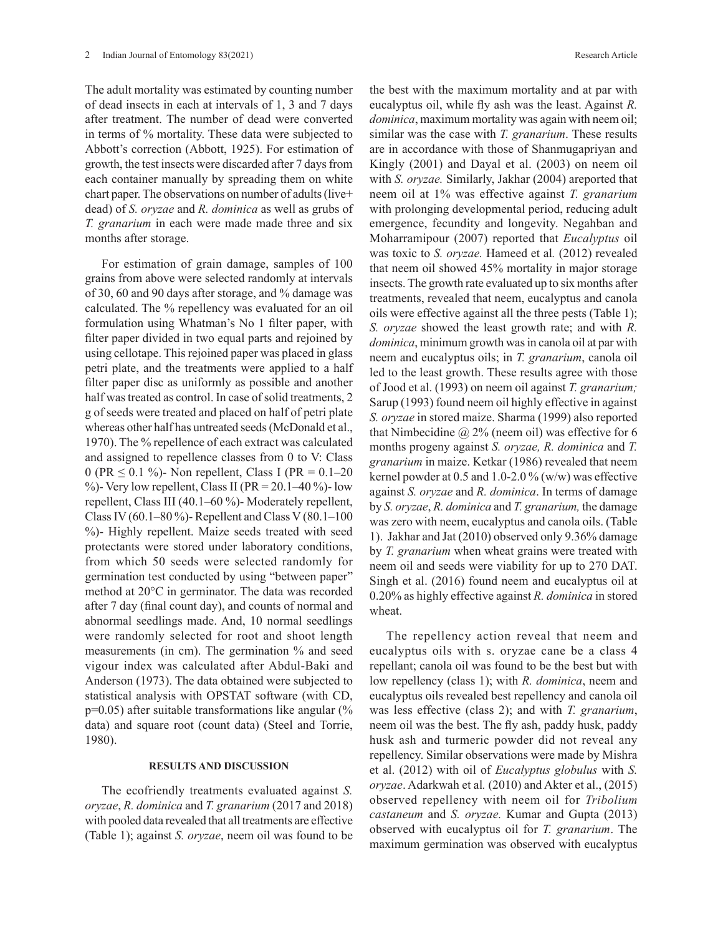The adult mortality was estimated by counting number of dead insects in each at intervals of 1, 3 and 7 days after treatment. The number of dead were converted in terms of % mortality. These data were subjected to Abbott's correction (Abbott, 1925). For estimation of growth, the test insects were discarded after 7 days from each container manually by spreading them on white chart paper. The observations on number of adults (live+ dead) of *S. oryzae* and *R. dominica* as well as grubs of *T. granarium* in each were made made three and six months after storage.

For estimation of grain damage, samples of 100 grains from above were selected randomly at intervals of 30, 60 and 90 days after storage, and % damage was calculated. The % repellency was evaluated for an oil formulation using Whatman's No 1 filter paper, with filter paper divided in two equal parts and rejoined by using cellotape. This rejoined paper was placed in glass petri plate, and the treatments were applied to a half filter paper disc as uniformly as possible and another half was treated as control. In case of solid treatments, 2 g of seeds were treated and placed on half of petri plate whereas other half has untreated seeds (McDonald et al., 1970). The % repellence of each extract was calculated and assigned to repellence classes from 0 to V: Class 0 (PR  $\leq$  0.1 %)- Non repellent, Class I (PR = 0.1–20) %)- Very low repellent, Class II ( $PR = 20.1 - 40$ %)- low repellent, Class III (40.1–60 %)- Moderately repellent, Class IV (60.1–80 %)- Repellent and Class V (80.1–100 %)- Highly repellent. Maize seeds treated with seed protectants were stored under laboratory conditions, from which 50 seeds were selected randomly for germination test conducted by using "between paper" method at 20°C in germinator. The data was recorded after 7 day (final count day), and counts of normal and abnormal seedlings made. And, 10 normal seedlings were randomly selected for root and shoot length measurements (in cm). The germination % and seed vigour index was calculated after Abdul-Baki and Anderson (1973). The data obtained were subjected to statistical analysis with OPSTAT software (with CD,  $p=0.05$ ) after suitable transformations like angular (% data) and square root (count data) (Steel and Torrie, 1980).

#### **RESULTS AND DISCUSSION**

The ecofriendly treatments evaluated against *S. oryzae*, *R. dominica* and *T. granarium* (2017 and 2018) with pooled data revealed that all treatments are effective (Table 1); against *S. oryzae*, neem oil was found to be the best with the maximum mortality and at par with eucalyptus oil, while fly ash was the least. Against *R. dominica*, maximum mortality was again with neem oil; similar was the case with *T. granarium*. These results are in accordance with those of Shanmugapriyan and Kingly (2001) and Dayal et al. (2003) on neem oil with *S. oryzae.* Similarly, Jakhar (2004) areported that neem oil at 1% was effective against *T. granarium* with prolonging developmental period, reducing adult emergence, fecundity and longevity. Negahban and Moharramipour (2007) reported that *Eucalyptus* oil was toxic to *S. oryzae.* Hameed et al*.* (2012) revealed that neem oil showed 45% mortality in major storage insects. The growth rate evaluated up to six months after treatments, revealed that neem, eucalyptus and canola oils were effective against all the three pests (Table 1); *S. oryzae* showed the least growth rate; and with *R. dominica*, minimum growth was in canola oil at par with neem and eucalyptus oils; in *T. granarium*, canola oil led to the least growth. These results agree with those of Jood et al. (1993) on neem oil against *T. granarium;* Sarup (1993) found neem oil highly effective in against *S. oryzae* in stored maize. Sharma (1999) also reported that Nimbecidine  $\omega$  2% (neem oil) was effective for 6 months progeny against *S. oryzae, R. dominica* and *T. granarium* in maize. Ketkar (1986) revealed that neem kernel powder at  $0.5$  and  $1.0$ -2.0 % (w/w) was effective against *S. oryzae* and *R. dominica*. In terms of damage by *S. oryzae*, *R. dominica* and *T. granarium,* the damage was zero with neem, eucalyptus and canola oils. (Table 1). Jakhar and Jat (2010) observed only 9.36% damage by *T. granarium* when wheat grains were treated with neem oil and seeds were viability for up to 270 DAT. Singh et al. (2016) found neem and eucalyptus oil at 0.20% as highly effective against *R. dominica* in stored wheat.

The repellency action reveal that neem and eucalyptus oils with s. oryzae cane be a class 4 repellant; canola oil was found to be the best but with low repellency (class 1); with *R. dominica*, neem and eucalyptus oils revealed best repellency and canola oil was less effective (class 2); and with *T. granarium*, neem oil was the best. The fly ash, paddy husk, paddy husk ash and turmeric powder did not reveal any repellency. Similar observations were made by Mishra et al. (2012) with oil of *Eucalyptus globulus* with *S. oryzae*. Adarkwah et al*.* (2010) and Akter et al., (2015) observed repellency with neem oil for *Tribolium castaneum* and *S. oryzae.* Kumar and Gupta (2013) observed with eucalyptus oil for *T. granarium*. The maximum germination was observed with eucalyptus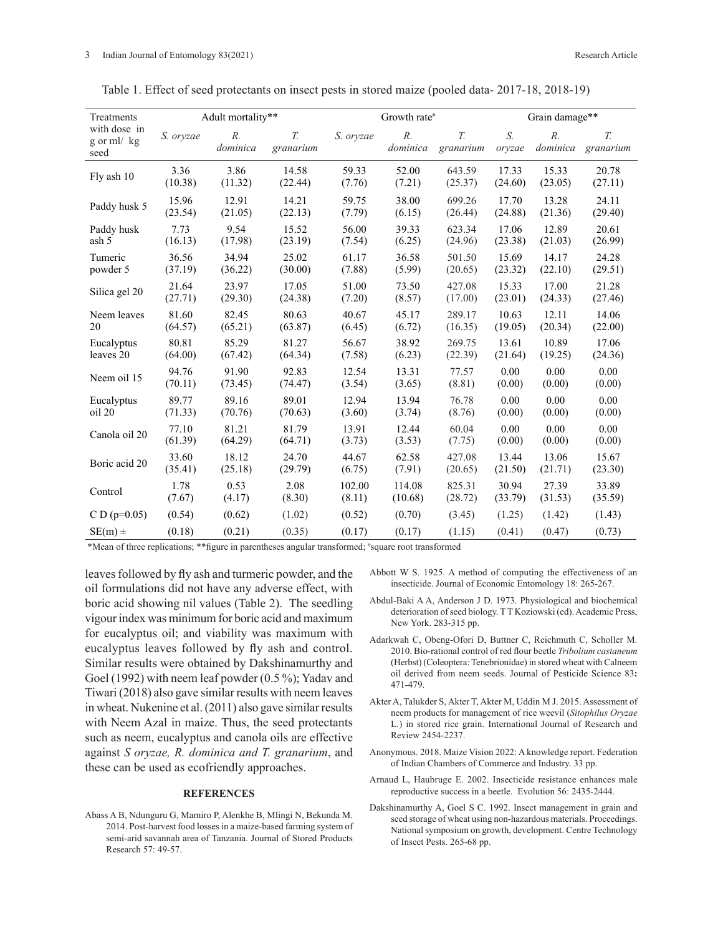| Treatments                         |                                  | Adult mortality**       |                 |                  | Growth rate <sup>#</sup>               |                          | Grain damage**   |                   |                          |  |  |
|------------------------------------|----------------------------------|-------------------------|-----------------|------------------|----------------------------------------|--------------------------|------------------|-------------------|--------------------------|--|--|
| with dose in<br>g or ml/kg<br>seed | S. oryzae                        | $R_{\cdot}$<br>dominica | T.<br>granarium | S. oryzae        | $R_{\cdot}$<br>dominica                | $T_{\cdot}$<br>granarium | S.<br>oryzae     | $R$ .<br>dominica | $T_{\cdot}$<br>granarium |  |  |
| Fly ash 10                         | 3.36                             | 3.86                    | 14.58           | 59.33            | 52.00                                  | 643.59                   | 17.33            | 15.33             | 20.78                    |  |  |
|                                    | (10.38)                          | (11.32)                 | (22.44)         | (7.76)           | (7.21)                                 | (25.37)                  | (24.60)          | (23.05)           | (27.11)                  |  |  |
| Paddy husk 5                       | 15.96                            | 12.91                   | 14.21           | 59.75            | 38.00                                  | 699.26                   | 17.70            | 13.28             | 24.11                    |  |  |
|                                    | (23.54)                          | (21.05)                 | (22.13)         | (7.79)           | (6.15)                                 | (26.44)                  | (24.88)          | (21.36)           | (29.40)                  |  |  |
| Paddy husk                         | 7.73                             | 9.54                    | 15.52           | 56.00            | 39.33                                  | 623.34                   | 17.06            | 12.89             | 20.61                    |  |  |
| ash 5                              | (16.13)                          | (17.98)                 | (23.19)         | (7.54)           | (6.25)                                 | (24.96)                  | (23.38)          | (21.03)           | (26.99)                  |  |  |
| Tumeric                            | 36.56                            | 34.94                   | 25.02           | 61.17            | 36.58                                  | 501.50                   | 15.69            | 14.17             | 24.28                    |  |  |
| powder 5                           | (37.19)                          | (36.22)                 | (30.00)         | (7.88)           | (5.99)                                 | (20.65)                  | (23.32)          | (22.10)           | (29.51)                  |  |  |
| Silica gel 20                      | 21.64                            | 23.97                   | 17.05           | 51.00            | 73.50                                  | 427.08                   | 15.33            | 17.00             | 21.28                    |  |  |
|                                    | (27.71)                          | (29.30)                 | (24.38)         | (7.20)           | (8.57)                                 | (17.00)                  | (23.01)          | (24.33)           | (27.46)                  |  |  |
| Neem leaves                        | 81.60                            | 82.45                   | 80.63           | 40.67            | 45.17                                  | 289.17                   | 10.63            | 12.11             | 14.06                    |  |  |
| 20                                 | (64.57)                          | (65.21)                 | (63.87)         | (6.45)           | (6.72)                                 | (16.35)                  | (19.05)          | (20.34)           | (22.00)                  |  |  |
| Eucalyptus                         | 80.81                            | 85.29                   | 81.27           | 56.67            | 38.92                                  | 269.75                   | 13.61            | 10.89             | 17.06                    |  |  |
| leaves 20                          | (64.00)                          | (67.42)                 | (64.34)         | (7.58)           | (6.23)                                 | (22.39)                  | (21.64)          | (19.25)           | (24.36)                  |  |  |
| Neem oil 15                        | 94.76                            | 91.90                   | 92.83           | 12.54            | 13.31                                  | 77.57                    | 0.00             | 0.00              | 0.00                     |  |  |
|                                    | (70.11)                          | (73.45)                 | (74.47)         | (3.54)           | (3.65)                                 | (8.81)                   | (0.00)           | (0.00)            | (0.00)                   |  |  |
| Eucalyptus                         | 89.77                            | 89.16                   | 89.01           | 12.94            | 13.94                                  | 76.78                    | 0.00             | 0.00              | 0.00                     |  |  |
| oil 20                             | (71.33)                          | (70.76)                 | (70.63)         | (3.60)           | (3.74)                                 | (8.76)                   | (0.00)           | (0.00)            | (0.00)                   |  |  |
| Canola oil 20                      | 77.10                            | 81.21                   | 81.79           | 13.91            | 12.44                                  | 60.04                    | 0.00             | 0.00              | 0.00                     |  |  |
|                                    | (61.39)                          | (64.29)                 | (64.71)         | (3.73)           | (3.53)                                 | (7.75)                   | (0.00)           | (0.00)            | (0.00)                   |  |  |
| Boric acid 20                      | 33.60                            | 18.12                   | 24.70           | 44.67            | 62.58                                  | 427.08                   | 13.44            | 13.06             | 15.67                    |  |  |
|                                    | (35.41)                          | (25.18)                 | (29.79)         | (6.75)           | (7.91)                                 | (20.65)                  | (21.50)          | (21.71)           | (23.30)                  |  |  |
| Control                            | 0.53<br>1.78<br>(7.67)<br>(4.17) |                         | 2.08<br>(8.30)  | 102.00<br>(8.11) | 825.31<br>114.08<br>(10.68)<br>(28.72) |                          | 30.94<br>(33.79) | 27.39<br>(31.53)  | 33.89<br>(35.59)         |  |  |
| $CD (p=0.05)$                      | (0.54)                           | (0.62)                  | (1.02)          | (0.52)           | (0.70)                                 | (3.45)                   | (1.25)           | (1.42)            | (1.43)                   |  |  |
| $SE(m)$ ±                          | (0.18)                           | (0.21)                  | (0.35)          | (0.17)           | (0.17)                                 | (1.15)                   | (0.41)           | (0.47)            | (0.73)                   |  |  |

Table 1. Effect of seed protectants on insect pests in stored maize (pooled data- 2017-18, 2018-19)

\*Mean of three replications; \*\*figure in parentheses angular transformed; # square root transformed

leaves followed by fly ash and turmeric powder, and the oil formulations did not have any adverse effect, with boric acid showing nil values (Table 2). The seedling vigour index was minimum for boric acid and maximum for eucalyptus oil; and viability was maximum with eucalyptus leaves followed by fly ash and control. Similar results were obtained by Dakshinamurthy and Goel (1992) with neem leaf powder (0.5 %); Yadav and Tiwari (2018) also gave similar results with neem leaves in wheat. Nukenine et al. (2011) also gave similar results with Neem Azal in maize. Thus, the seed protectants such as neem, eucalyptus and canola oils are effective against *S oryzae, R. dominica and T. granarium*, and these can be used as ecofriendly approaches.

## **REFERENCES**

Abass A B, Ndunguru G, Mamiro P, Alenkhe B, Mlingi N, Bekunda M. 2014. Post-harvest food losses in a maize-based farming system of semi-arid savannah area of Tanzania. Journal of Stored Products Research 57: 49-57.

- Abbott W S. 1925. A method of computing the effectiveness of an insecticide. Journal of Economic Entomology 18: 265-267.
- Abdul-Baki A A, Anderson J D. 1973. Physiological and biochemical deterioration of seed biology. T T Koziowski (ed). Academic Press, New York. 283-315 pp.
- Adarkwah C, Obeng-Ofori D, Buttner C, Reichmuth C, Scholler M. 2010. Bio-rational control of red flour beetle *Tribolium castaneum* (Herbst) (Coleoptera: Tenebrionidae) in stored wheat with Calneem oil derived from neem seeds. Journal of Pesticide Science 83**:**  471-479.
- Akter A, Talukder S, Akter T, Akter M, Uddin M J. 2015. Assessment of neem products for management of rice weevil (*Sitophilus Oryzae* L.) in stored rice grain. International Journal of Research and Review 2454-2237.
- Anonymous. 2018. Maize Vision 2022: A knowledge report. Federation of Indian Chambers of Commerce and Industry. 33 pp.
- Arnaud L, Haubruge E. 2002. Insecticide resistance enhances male reproductive success in a beetle. Evolution 56: 2435-2444.
- Dakshinamurthy A, Goel S C. 1992. Insect management in grain and seed storage of wheat using non-hazardous materials. Proceedings. National symposium on growth, development. Centre Technology of Insect Pests. 265-68 pp.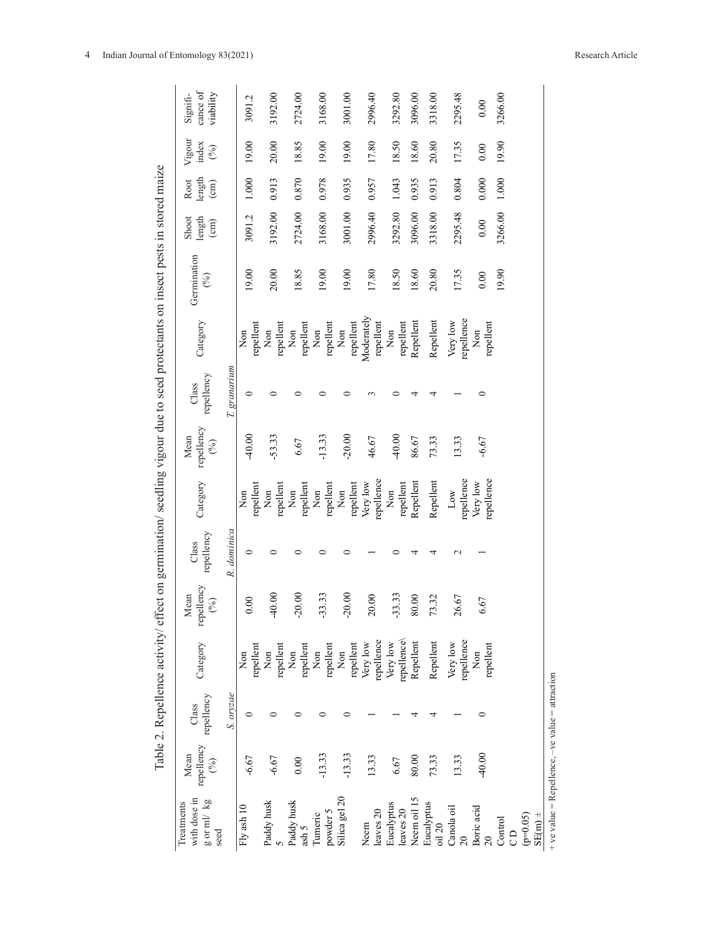|   | cance of<br>viability<br>Signifi-                |              | 3091.2                    | 3192.00                              | 2724.00                              | 3168.00                              | 3001.00                                  | 2996.40                 | 3292.80                              | 3096.00                  | 3318.00                | 2295.48                             | 0.00                   | 3266.00 |    |                                                                   |  |
|---|--------------------------------------------------|--------------|---------------------------|--------------------------------------|--------------------------------------|--------------------------------------|------------------------------------------|-------------------------|--------------------------------------|--------------------------|------------------------|-------------------------------------|------------------------|---------|----|-------------------------------------------------------------------|--|
|   | Vigour<br>index<br>(%)                           |              | 19.00                     | 20.00                                | 18.85                                | 19.00                                | 19.00                                    | 17.80                   | 18.50                                | 18.60                    | 20.80                  | 17.35                               | 0.00                   | 19.90   |    |                                                                   |  |
|   | length<br>Root<br>$\binom{cm}{ }$                |              | 1.000                     | 0.913                                | 0.870                                | 0.978                                | 0.935                                    | 0.957                   | 1.043                                | 0.935                    | 0.913                  | 0.804                               | 0.000                  | 1.000   |    |                                                                   |  |
|   | Shoot<br>length<br>$\binom{cm}{c}$               |              | 3091.2                    | 3192.00                              | 2724.00                              | 3168.00                              | 3001.00                                  | 2996.40                 | 3292.80                              | 3096.00                  | 3318.00                | 2295.48                             | 0.00                   | 3266.00 |    |                                                                   |  |
|   | Germination<br>$\mathcal{S}$                     |              | 19.00                     | 20.00                                | 18.85                                | 19.00                                | 19.00                                    | 17.80                   | 18.50                                | 18.60                    | 20.80                  | 17.35                               | 0.00                   | 19.90   |    |                                                                   |  |
|   | Category                                         |              | repellent<br>$\rm{Nm}$    | repellent<br>$\mathop{\mathrm{Non}}$ | repellent<br>$_{\rm Non}$            | repellent<br>$\mathop{\mathrm{Non}}$ | repellent<br>$\mathop{\rm Non}\nolimits$ | Moderately<br>repellent | repellent<br>$\mathop{\mathrm{Non}}$ | Repellent                | Repellent              | repellence<br>Very low              | repellent<br>Non       |         |    |                                                                   |  |
|   | repellency<br>Class                              | T. granarium |                           |                                      |                                      |                                      |                                          |                         |                                      |                          |                        |                                     | 0                      |         |    |                                                                   |  |
| Ĵ | repellency<br>Mean<br>(%)                        |              | 40.00                     | $-53.33$                             | 6.67                                 | $-13.33$                             | $-20.00$                                 | 46.67                   | 40.00                                | 86.67                    | 73.33                  | 13.33                               | $-6.67$                |         |    |                                                                   |  |
|   | Category                                         |              | repellent<br>$\rm{Non}$   | repellent<br>Non                     | repellent<br>$\mathop{\mathrm{Non}}$ | repellent<br>$\mathop{\mathrm{Non}}$ | repellent<br>$\mathop{\rm Non}\nolimits$ | repellence<br>Very low  | repellent<br>Non                     | Repellent                | Repellent              | repellence<br>Low                   | repellence<br>Very low |         |    |                                                                   |  |
| J | repellency<br>Class                              | R. dominica  | 0                         |                                      |                                      |                                      |                                          |                         |                                      |                          |                        | $\sim$                              |                        |         |    |                                                                   |  |
|   | repellency<br>lean<br>(9/6)<br>$\geq$            |              | $\mathcal{S}$             | $-40.00$                             | $-20.00$                             | $-33.33$                             | $-20.00$                                 | 20.00                   | $-33.33$                             | 0.00<br>ळ                | 73.32                  | 26.67                               | 67                     |         |    |                                                                   |  |
|   | Category                                         |              | repellent<br>$_{\rm Non}$ | $\mbox{Non}$                         | repellent<br>Non<br>repellent        | Non<br>repellent                     | Non<br>repellent<br>Very low             | repellence<br>Very low  |                                      | repellence\<br>Repellent | Repellent              | repellence $\hbox{Non}$<br>Very low | repellent              |         |    |                                                                   |  |
|   | Class<br>repellency                              | S. oryzae    |                           |                                      |                                      |                                      |                                          |                         |                                      |                          |                        |                                     |                        |         |    |                                                                   |  |
|   | repellency<br>Mean<br>(6)                        |              | $-6.67$                   | $-6.67$                              | 0.00                                 | $-13.33$                             | $-13.33$                                 | 13.33                   | 6.67                                 | 80.00                    | 73.33                  | 13.33                               | $-40.00$               |         |    |                                                                   |  |
|   | with dose in<br>g or ml/kg<br>Treatments<br>seed |              | Fly ash 10                | Paddy husk                           | Paddy husk ash $5\,$                 | powder 5<br><b>Tumeric</b>           | Silica gel 20                            | leaves 20<br>Neem       | Eucalyptus<br>leaves 20              | Neem oil 15              | Eucalyptus<br>oil $20$ | Canola oil                          | Boric acid             | Control | CD | $\begin{array}{c} \text{(p=0.05)}\\ \text{SE(m)} \pm \end{array}$ |  |

Table 2. Repellence activity/ effect on germination/ seedling vigour due to seed protectants on insect pests in stored maize Table 2. Repellence activity/ effect on germination/ seedling vigour due to seed protectants on insect pests in stored maize

+ ve value = Repellence, -ve value = attraction + ve value = Repellence, –ve value = attraction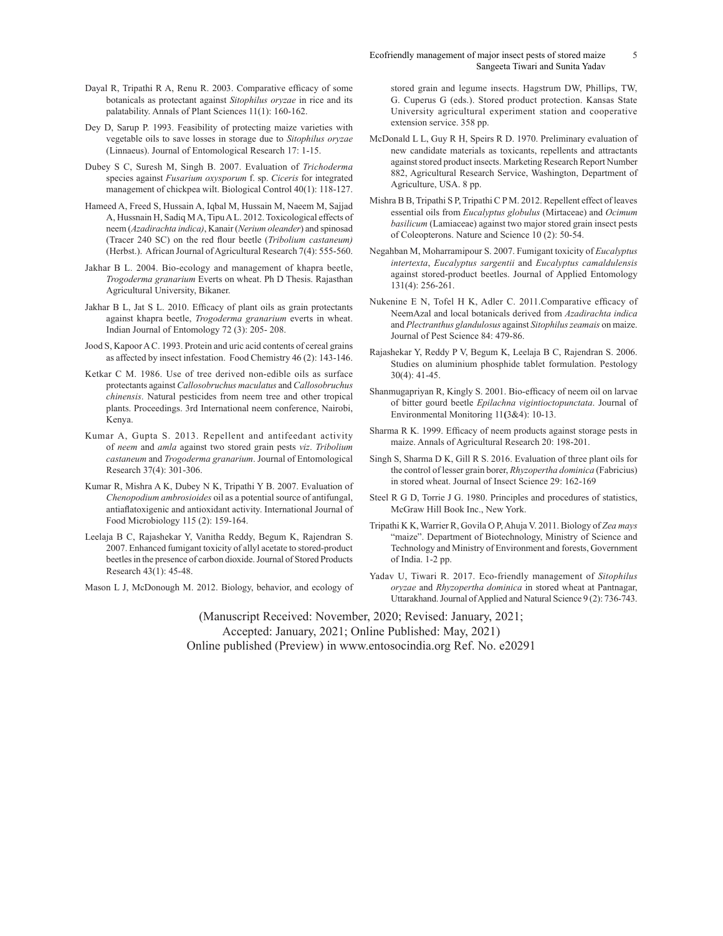- Dayal R, Tripathi R A, Renu R. 2003. Comparative efficacy of some botanicals as protectant against *Sitophilus oryzae* in rice and its palatability. Annals of Plant Sciences 11(1): 160-162.
- Dey D, Sarup P. 1993. Feasibility of protecting maize varieties with vegetable oils to save losses in storage due to *Sitophilus oryzae* (Linnaeus). Journal of Entomological Research 17: 1-15.
- Dubey S C, Suresh M, Singh B. 2007. Evaluation of *Trichoderma*  species against *Fusarium oxysporum* f. sp. *Ciceris* for integrated management of chickpea wilt. Biological Control 40(1): 118-127.
- Hameed A, Freed S, Hussain A, Iqbal M, Hussain M, Naeem M, Sajjad A, Hussnain H, Sadiq M A, Tipu A L. 2012. Toxicological effects of neem (*Azadirachta indica)*, Kanair (*Nerium oleander*) and spinosad (Tracer 240 SC) on the red flour beetle (*Tribolium castaneum)*  (Herbst.). African Journal of Agricultural Research 7(4): 555-560.
- Jakhar B L. 2004. Bio-ecology and management of khapra beetle, *Trogoderma granarium* Everts on wheat. Ph D Thesis. Rajasthan Agricultural University, Bikaner.
- Jakhar B L, Jat S L. 2010. Efficacy of plant oils as grain protectants against khapra beetle, *Trogoderma granarium* everts in wheat. Indian Journal of Entomology 72 (3): 205- 208.
- Jood S, Kapoor A C. 1993. Protein and uric acid contents of cereal grains as affected by insect infestation. Food Chemistry 46 (2): 143-146.
- Ketkar C M. 1986. Use of tree derived non-edible oils as surface protectants against *Callosobruchus maculatus* and *Callosobruchus chinensis*. Natural pesticides from neem tree and other tropical plants. Proceedings. 3rd International neem conference, Nairobi, Kenya.
- Kumar A, Gupta S. 2013. Repellent and antifeedant activity of *neem* and *amla* against two stored grain pests *viz*. *Tribolium castaneum* and *Trogoderma granarium*. Journal of Entomological Research 37(4): 301-306.
- Kumar R, Mishra A K, Dubey N K, Tripathi Y B. 2007. Evaluation of *Chenopodium ambrosioides* oil as a potential source of antifungal, antiaflatoxigenic and antioxidant activity. International Journal of Food Microbiology 115 (2): 159-164.
- Leelaja B C, Rajashekar Y, Vanitha Reddy, Begum K, Rajendran S. 2007. Enhanced fumigant toxicity of allyl acetate to stored-product beetles in the presence of carbon dioxide. Journal of Stored Products Research 43(1): 45-48.

Mason L J, McDonough M. 2012. Biology, behavior, and ecology of

stored grain and legume insects. Hagstrum DW, Phillips, TW, G. Cuperus G (eds.). Stored product protection. Kansas State University agricultural experiment station and cooperative extension service. 358 pp.

- McDonald L L, Guy R H, Speirs R D. 1970. Preliminary evaluation of new candidate materials as toxicants, repellents and attractants against stored product insects. Marketing Research Report Number 882, Agricultural Research Service, Washington, Department of Agriculture, USA. 8 pp.
- Mishra B B, Tripathi S P, Tripathi C P M. 2012. Repellent effect of leaves essential oils from *Eucalyptus globulus* (Mirtaceae) and *Ocimum basilicum* (Lamiaceae) against two major stored grain insect pests of Coleopterons. Nature and Science 10 (2): 50-54.
- Negahban M, Moharramipour S. 2007. Fumigant toxicity of *Eucalyptus intertexta*, *Eucalyptus sargentii* and *Eucalyptus camaldulensis* against stored-product beetles. Journal of Applied Entomology 131(4): 256-261.
- Nukenine E N, Tofel H K, Adler C. 2011.Comparative efficacy of NeemAzal and local botanicals derived from *Azadirachta indica* and *Plectranthus glandulosus* against *Sitophiluszeamais* on maize. Journal of Pest Science 84: 479-86.
- Rajashekar Y, Reddy P V, Begum K, Leelaja B C, Rajendran S. 2006. Studies on aluminium phosphide tablet formulation. Pestology 30(4): 41-45.
- Shanmugapriyan R, Kingly S. 2001. Bio-efficacy of neem oil on larvae of bitter gourd beetle *Epilachna vigintioctopunctata*. Journal of Environmental Monitoring 11**(**3&4): 10-13.
- Sharma R K. 1999. Efficacy of neem products against storage pests in maize. Annals of Agricultural Research 20: 198-201.
- Singh S, Sharma D K, Gill R S. 2016. Evaluation of three plant oils for the control of lesser grain borer, *Rhyzopertha dominica* (Fabricius) in stored wheat. Journal of Insect Science 29: 162-169
- Steel R G D, Torrie J G. 1980. Principles and procedures of statistics, McGraw Hill Book Inc., New York.
- Tripathi K K, Warrier R, Govila O P, Ahuja V. 2011. Biology of *Zea mays* "maize". Department of Biotechnology, Ministry of Science and Technology and Ministry of Environment and forests, Government of India. 1-2 pp.
- Yadav U, Tiwari R. 2017. Eco-friendly management of *Sitophilus oryzae* and *Rhyzopertha dominica* in stored wheat at Pantnagar, Uttarakhand. Journal of Applied and Natural Science 9 (2): 736-743.

(Manuscript Received: November, 2020; Revised: January, 2021; Accepted: January, 2021; Online Published: May, 2021) Online published (Preview) in www.entosocindia.org Ref. No. e20291